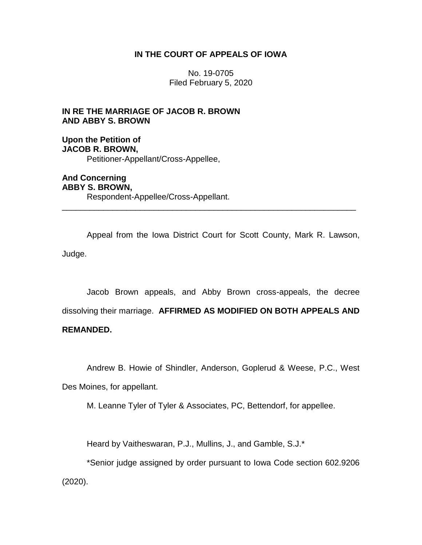# **IN THE COURT OF APPEALS OF IOWA**

No. 19-0705 Filed February 5, 2020

**IN RE THE MARRIAGE OF JACOB R. BROWN AND ABBY S. BROWN**

**Upon the Petition of JACOB R. BROWN,** Petitioner-Appellant/Cross-Appellee,

**And Concerning ABBY S. BROWN,** Respondent-Appellee/Cross-Appellant.

Appeal from the Iowa District Court for Scott County, Mark R. Lawson, Judge.

\_\_\_\_\_\_\_\_\_\_\_\_\_\_\_\_\_\_\_\_\_\_\_\_\_\_\_\_\_\_\_\_\_\_\_\_\_\_\_\_\_\_\_\_\_\_\_\_\_\_\_\_\_\_\_\_\_\_\_\_\_\_\_\_

Jacob Brown appeals, and Abby Brown cross-appeals, the decree dissolving their marriage. **AFFIRMED AS MODIFIED ON BOTH APPEALS AND** 

# **REMANDED.**

Andrew B. Howie of Shindler, Anderson, Goplerud & Weese, P.C., West

Des Moines, for appellant.

M. Leanne Tyler of Tyler & Associates, PC, Bettendorf, for appellee.

Heard by Vaitheswaran, P.J., Mullins, J., and Gamble, S.J.\*

\*Senior judge assigned by order pursuant to Iowa Code section 602.9206 (2020).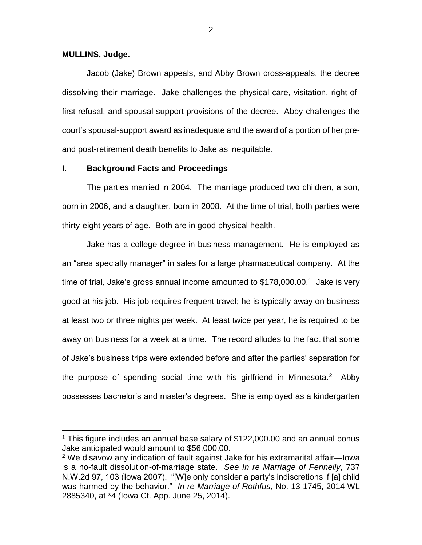#### **MULLINS, Judge.**

 $\overline{a}$ 

Jacob (Jake) Brown appeals, and Abby Brown cross-appeals, the decree dissolving their marriage. Jake challenges the physical-care, visitation, right-offirst-refusal, and spousal-support provisions of the decree. Abby challenges the court's spousal-support award as inadequate and the award of a portion of her preand post-retirement death benefits to Jake as inequitable.

## **I. Background Facts and Proceedings**

The parties married in 2004. The marriage produced two children, a son, born in 2006, and a daughter, born in 2008. At the time of trial, both parties were thirty-eight years of age. Both are in good physical health.

Jake has a college degree in business management. He is employed as an "area specialty manager" in sales for a large pharmaceutical company. At the time of trial, Jake's gross annual income amounted to \$178,000.00.<sup>1</sup> Jake is very good at his job. His job requires frequent travel; he is typically away on business at least two or three nights per week. At least twice per year, he is required to be away on business for a week at a time. The record alludes to the fact that some of Jake's business trips were extended before and after the parties' separation for the purpose of spending social time with his girlfriend in Minnesota.<sup>2</sup> Abby possesses bachelor's and master's degrees. She is employed as a kindergarten

<sup>&</sup>lt;sup>1</sup> This figure includes an annual base salary of  $$122,000.00$  and an annual bonus Jake anticipated would amount to \$56,000.00.

<sup>2</sup> We disavow any indication of fault against Jake for his extramarital affair—Iowa is a no-fault dissolution-of-marriage state. *See In re Marriage of Fennelly*, 737 N.W.2d 97, 103 (Iowa 2007). "[W]e only consider a party's indiscretions if [a] child was harmed by the behavior." *In re Marriage of Rothfus*, No. 13-1745, 2014 WL 2885340, at \*4 (Iowa Ct. App. June 25, 2014).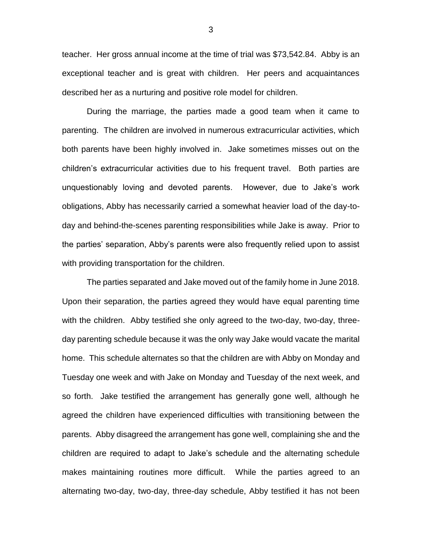teacher. Her gross annual income at the time of trial was \$73,542.84. Abby is an exceptional teacher and is great with children. Her peers and acquaintances described her as a nurturing and positive role model for children.

During the marriage, the parties made a good team when it came to parenting. The children are involved in numerous extracurricular activities, which both parents have been highly involved in. Jake sometimes misses out on the children's extracurricular activities due to his frequent travel. Both parties are unquestionably loving and devoted parents. However, due to Jake's work obligations, Abby has necessarily carried a somewhat heavier load of the day-today and behind-the-scenes parenting responsibilities while Jake is away. Prior to the parties' separation, Abby's parents were also frequently relied upon to assist with providing transportation for the children.

The parties separated and Jake moved out of the family home in June 2018. Upon their separation, the parties agreed they would have equal parenting time with the children. Abby testified she only agreed to the two-day, two-day, threeday parenting schedule because it was the only way Jake would vacate the marital home. This schedule alternates so that the children are with Abby on Monday and Tuesday one week and with Jake on Monday and Tuesday of the next week, and so forth. Jake testified the arrangement has generally gone well, although he agreed the children have experienced difficulties with transitioning between the parents. Abby disagreed the arrangement has gone well, complaining she and the children are required to adapt to Jake's schedule and the alternating schedule makes maintaining routines more difficult. While the parties agreed to an alternating two-day, two-day, three-day schedule, Abby testified it has not been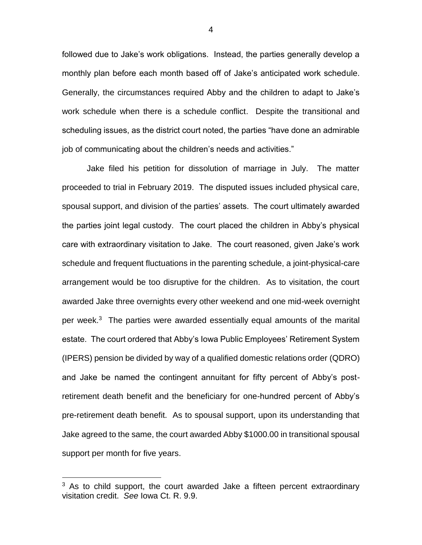followed due to Jake's work obligations. Instead, the parties generally develop a monthly plan before each month based off of Jake's anticipated work schedule. Generally, the circumstances required Abby and the children to adapt to Jake's work schedule when there is a schedule conflict. Despite the transitional and scheduling issues, as the district court noted, the parties "have done an admirable job of communicating about the children's needs and activities."

Jake filed his petition for dissolution of marriage in July. The matter proceeded to trial in February 2019. The disputed issues included physical care, spousal support, and division of the parties' assets. The court ultimately awarded the parties joint legal custody. The court placed the children in Abby's physical care with extraordinary visitation to Jake. The court reasoned, given Jake's work schedule and frequent fluctuations in the parenting schedule, a joint-physical-care arrangement would be too disruptive for the children. As to visitation, the court awarded Jake three overnights every other weekend and one mid-week overnight per week.<sup>3</sup> The parties were awarded essentially equal amounts of the marital estate. The court ordered that Abby's Iowa Public Employees' Retirement System (IPERS) pension be divided by way of a qualified domestic relations order (QDRO) and Jake be named the contingent annuitant for fifty percent of Abby's postretirement death benefit and the beneficiary for one-hundred percent of Abby's pre-retirement death benefit. As to spousal support, upon its understanding that Jake agreed to the same, the court awarded Abby \$1000.00 in transitional spousal support per month for five years.

 $\overline{a}$ 

 $3$  As to child support, the court awarded Jake a fifteen percent extraordinary visitation credit. *See* Iowa Ct. R. 9.9.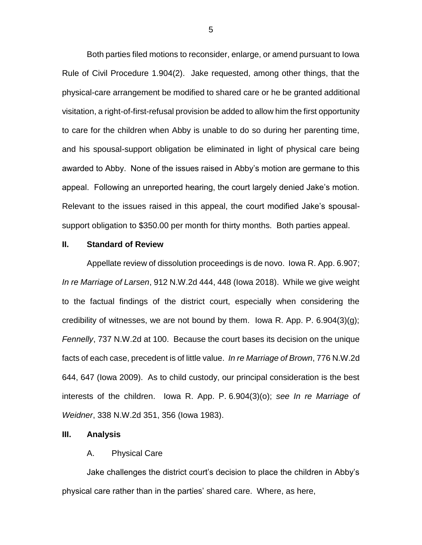Both parties filed motions to reconsider, enlarge, or amend pursuant to Iowa Rule of Civil Procedure 1.904(2). Jake requested, among other things, that the physical-care arrangement be modified to shared care or he be granted additional visitation, a right-of-first-refusal provision be added to allow him the first opportunity to care for the children when Abby is unable to do so during her parenting time, and his spousal-support obligation be eliminated in light of physical care being awarded to Abby. None of the issues raised in Abby's motion are germane to this appeal. Following an unreported hearing, the court largely denied Jake's motion. Relevant to the issues raised in this appeal, the court modified Jake's spousalsupport obligation to \$350.00 per month for thirty months. Both parties appeal.

## **II. Standard of Review**

Appellate review of dissolution proceedings is de novo. Iowa R. App. 6.907; *In re Marriage of Larsen*, 912 N.W.2d 444, 448 (Iowa 2018). While we give weight to the factual findings of the district court, especially when considering the credibility of witnesses, we are not bound by them. Iowa R. App. P.  $6.904(3)(g)$ ; *Fennelly*, 737 N.W.2d at 100. Because the court bases its decision on the unique facts of each case, precedent is of little value. *In re Marriage of Brown*, 776 N.W.2d 644, 647 (Iowa 2009). As to child custody, our principal consideration is the best interests of the children. Iowa R. App. P. 6.904(3)(o); *see In re Marriage of Weidner*, 338 N.W.2d 351, 356 (Iowa 1983).

#### **III. Analysis**

# A. Physical Care

Jake challenges the district court's decision to place the children in Abby's physical care rather than in the parties' shared care. Where, as here,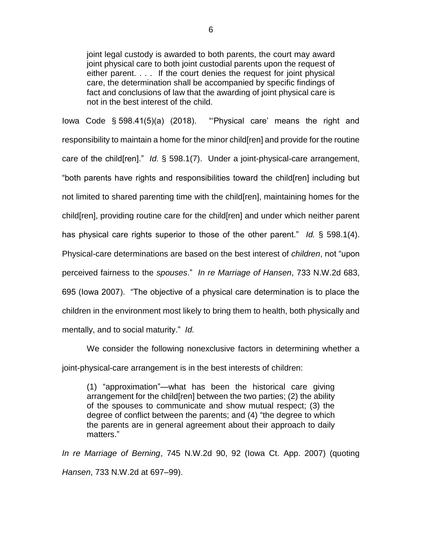joint legal custody is awarded to both parents, the court may award joint physical care to both joint custodial parents upon the request of either parent. . . . If the court denies the request for joint physical care, the determination shall be accompanied by specific findings of fact and conclusions of law that the awarding of joint physical care is not in the best interest of the child.

Iowa Code § 598.41(5)(a) (2018). "'Physical care' means the right and responsibility to maintain a home for the minor child[ren] and provide for the routine care of the child[ren]." *Id.* § 598.1(7). Under a joint-physical-care arrangement, "both parents have rights and responsibilities toward the child[ren] including but not limited to shared parenting time with the child[ren], maintaining homes for the child[ren], providing routine care for the child[ren] and under which neither parent has physical care rights superior to those of the other parent." *Id.* § 598.1(4). Physical-care determinations are based on the best interest of *children*, not "upon perceived fairness to the *spouses*." *In re Marriage of Hansen*, 733 N.W.2d 683, 695 (Iowa 2007). "The objective of a physical care determination is to place the children in the environment most likely to bring them to health, both physically and mentally, and to social maturity." *Id.*

We consider the following nonexclusive factors in determining whether a joint-physical-care arrangement is in the best interests of children:

(1) "approximation"—what has been the historical care giving arrangement for the child[ren] between the two parties; (2) the ability of the spouses to communicate and show mutual respect; (3) the degree of conflict between the parents; and (4) "the degree to which the parents are in general agreement about their approach to daily matters."

*In re Marriage of Berning*, 745 N.W.2d 90, 92 (Iowa Ct. App. 2007) (quoting *Hansen*, 733 N.W.2d at 697–99).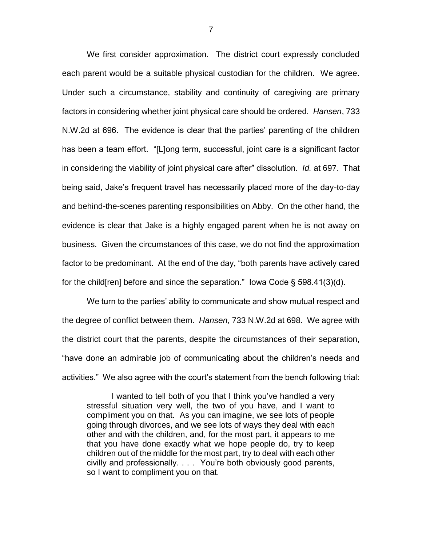We first consider approximation. The district court expressly concluded each parent would be a suitable physical custodian for the children. We agree. Under such a circumstance, stability and continuity of caregiving are primary factors in considering whether joint physical care should be ordered. *Hansen*, 733 N.W.2d at 696. The evidence is clear that the parties' parenting of the children has been a team effort. "[L]ong term, successful, joint care is a significant factor in considering the viability of joint physical care after" dissolution. *Id.* at 697. That being said, Jake's frequent travel has necessarily placed more of the day-to-day and behind-the-scenes parenting responsibilities on Abby. On the other hand, the evidence is clear that Jake is a highly engaged parent when he is not away on business. Given the circumstances of this case, we do not find the approximation factor to be predominant. At the end of the day, "both parents have actively cared for the child[ren] before and since the separation." Iowa Code § 598.41(3)(d).

We turn to the parties' ability to communicate and show mutual respect and the degree of conflict between them. *Hansen*, 733 N.W.2d at 698. We agree with the district court that the parents, despite the circumstances of their separation, "have done an admirable job of communicating about the children's needs and activities." We also agree with the court's statement from the bench following trial:

I wanted to tell both of you that I think you've handled a very stressful situation very well, the two of you have, and I want to compliment you on that. As you can imagine, we see lots of people going through divorces, and we see lots of ways they deal with each other and with the children, and, for the most part, it appears to me that you have done exactly what we hope people do, try to keep children out of the middle for the most part, try to deal with each other civilly and professionally. . . . You're both obviously good parents, so I want to compliment you on that.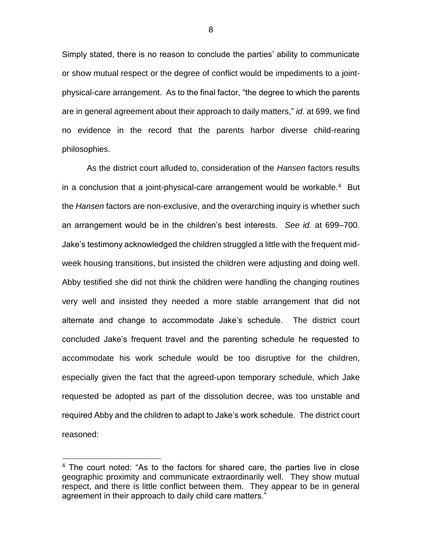Simply stated, there is no reason to conclude the parties' ability to communicate or show mutual respect or the degree of conflict would be impediments to a jointphysical-care arrangement. As to the final factor, "the degree to which the parents are in general agreement about their approach to daily matters," *id.* at 699, we find no evidence in the record that the parents harbor diverse child-rearing philosophies.

As the district court alluded to, consideration of the *Hansen* factors results in a conclusion that a joint-physical-care arrangement would be workable.<sup>4</sup> But the *Hansen* factors are non-exclusive, and the overarching inquiry is whether such an arrangement would be in the children's best interests. *See id.* at 699–700. Jake's testimony acknowledged the children struggled a little with the frequent midweek housing transitions, but insisted the children were adjusting and doing well. Abby testified she did not think the children were handling the changing routines very well and insisted they needed a more stable arrangement that did not alternate and change to accommodate Jake's schedule. The district court concluded Jake's frequent travel and the parenting schedule he requested to accommodate his work schedule would be too disruptive for the children, especially given the fact that the agreed-upon temporary schedule, which Jake requested be adopted as part of the dissolution decree, was too unstable and required Abby and the children to adapt to Jake's work schedule. The district court reasoned:

 $\overline{a}$ 

<sup>&</sup>lt;sup>4</sup> The court noted: "As to the factors for shared care, the parties live in close geographic proximity and communicate extraordinarily well. They show mutual respect, and there is little conflict between them. They appear to be in general agreement in their approach to daily child care matters."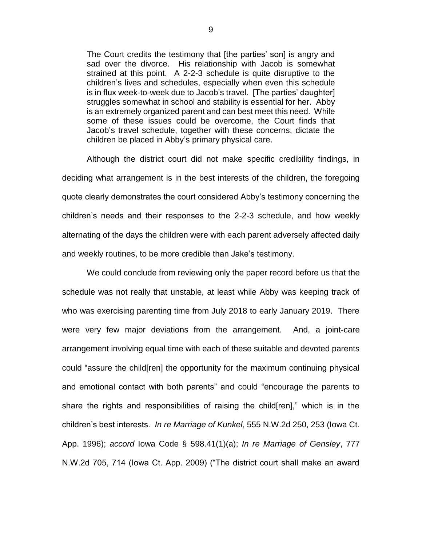The Court credits the testimony that [the parties' son] is angry and sad over the divorce. His relationship with Jacob is somewhat strained at this point. A 2-2-3 schedule is quite disruptive to the children's lives and schedules, especially when even this schedule is in flux week-to-week due to Jacob's travel. [The parties' daughter] struggles somewhat in school and stability is essential for her. Abby is an extremely organized parent and can best meet this need. While some of these issues could be overcome, the Court finds that Jacob's travel schedule, together with these concerns, dictate the children be placed in Abby's primary physical care.

Although the district court did not make specific credibility findings, in deciding what arrangement is in the best interests of the children, the foregoing quote clearly demonstrates the court considered Abby's testimony concerning the children's needs and their responses to the 2-2-3 schedule, and how weekly alternating of the days the children were with each parent adversely affected daily and weekly routines, to be more credible than Jake's testimony.

We could conclude from reviewing only the paper record before us that the schedule was not really that unstable, at least while Abby was keeping track of who was exercising parenting time from July 2018 to early January 2019. There were very few major deviations from the arrangement. And, a joint-care arrangement involving equal time with each of these suitable and devoted parents could "assure the child[ren] the opportunity for the maximum continuing physical and emotional contact with both parents" and could "encourage the parents to share the rights and responsibilities of raising the child[ren]," which is in the children's best interests. *In re Marriage of Kunkel*, 555 N.W.2d 250, 253 (Iowa Ct. App. 1996); *accord* Iowa Code § 598.41(1)(a); *In re Marriage of Gensley*, 777 N.W.2d 705, 714 (Iowa Ct. App. 2009) ("The district court shall make an award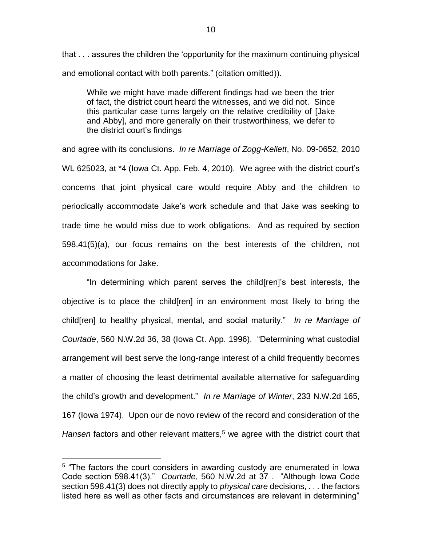that . . . assures the children the 'opportunity for the maximum continuing physical and emotional contact with both parents." (citation omitted)).

While we might have made different findings had we been the trier of fact, the district court heard the witnesses, and we did not. Since this particular case turns largely on the relative credibility of [Jake and Abby], and more generally on their trustworthiness, we defer to the district court's findings

and agree with its conclusions. *In re Marriage of Zogg-Kellett*, No. 09-0652, 2010 WL 625023, at \*4 (Iowa Ct. App. Feb. 4, 2010). We agree with the district court's concerns that joint physical care would require Abby and the children to periodically accommodate Jake's work schedule and that Jake was seeking to trade time he would miss due to work obligations. And as required by section 598.41(5)(a), our focus remains on the best interests of the children, not accommodations for Jake.

"In determining which parent serves the child[ren]'s best interests, the objective is to place the child[ren] in an environment most likely to bring the child[ren] to healthy physical, mental, and social maturity." *In re Marriage of Courtade*, 560 N.W.2d 36, 38 (Iowa Ct. App. 1996). "Determining what custodial arrangement will best serve the long-range interest of a child frequently becomes a matter of choosing the least detrimental available alternative for safeguarding the child's growth and development." *In re Marriage of Winter*, 233 N.W.2d 165, 167 (Iowa 1974). Upon our de novo review of the record and consideration of the *Hansen* factors and other relevant matters,<sup>5</sup> we agree with the district court that

 $\overline{a}$ 

<sup>&</sup>lt;sup>5</sup> "The factors the court considers in awarding custody are enumerated in lowa Code section 598.41(3)." *Courtade*, 560 N.W.2d at 37 . "Although Iowa Code section 598.41(3) does not directly apply to *physical care* decisions, . . . the factors listed here as well as other facts and circumstances are relevant in determining"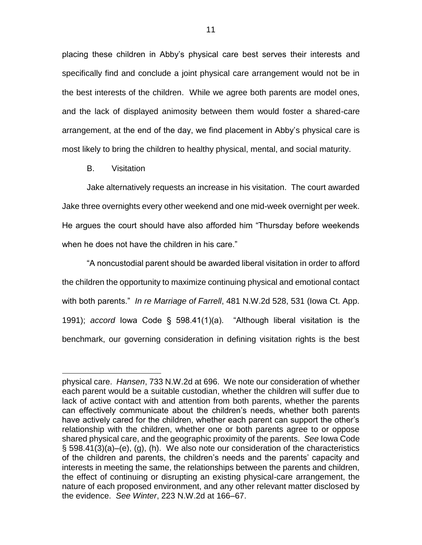placing these children in Abby's physical care best serves their interests and specifically find and conclude a joint physical care arrangement would not be in the best interests of the children. While we agree both parents are model ones, and the lack of displayed animosity between them would foster a shared-care arrangement, at the end of the day, we find placement in Abby's physical care is most likely to bring the children to healthy physical, mental, and social maturity.

B. Visitation

 $\overline{a}$ 

Jake alternatively requests an increase in his visitation. The court awarded Jake three overnights every other weekend and one mid-week overnight per week. He argues the court should have also afforded him "Thursday before weekends when he does not have the children in his care."

"A noncustodial parent should be awarded liberal visitation in order to afford the children the opportunity to maximize continuing physical and emotional contact with both parents." *In re Marriage of Farrell*, 481 N.W.2d 528, 531 (Iowa Ct. App. 1991); *accord* Iowa Code § 598.41(1)(a). "Although liberal visitation is the benchmark, our governing consideration in defining visitation rights is the best

physical care. *Hansen*, 733 N.W.2d at 696. We note our consideration of whether each parent would be a suitable custodian, whether the children will suffer due to lack of active contact with and attention from both parents, whether the parents can effectively communicate about the children's needs, whether both parents have actively cared for the children, whether each parent can support the other's relationship with the children, whether one or both parents agree to or oppose shared physical care, and the geographic proximity of the parents. *See* Iowa Code § 598.41(3)(a)–(e), (g), (h). We also note our consideration of the characteristics of the children and parents, the children's needs and the parents' capacity and interests in meeting the same, the relationships between the parents and children, the effect of continuing or disrupting an existing physical-care arrangement, the nature of each proposed environment, and any other relevant matter disclosed by the evidence. *See Winter*, 223 N.W.2d at 166–67.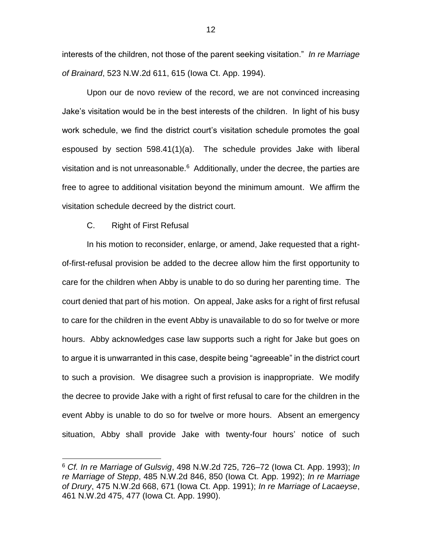interests of the children, not those of the parent seeking visitation." *In re Marriage of Brainard*, 523 N.W.2d 611, 615 (Iowa Ct. App. 1994).

Upon our de novo review of the record, we are not convinced increasing Jake's visitation would be in the best interests of the children. In light of his busy work schedule, we find the district court's visitation schedule promotes the goal espoused by section 598.41(1)(a). The schedule provides Jake with liberal visitation and is not unreasonable.<sup>6</sup> Additionally, under the decree, the parties are free to agree to additional visitation beyond the minimum amount. We affirm the visitation schedule decreed by the district court.

C. Right of First Refusal

 $\overline{a}$ 

In his motion to reconsider, enlarge, or amend, Jake requested that a rightof-first-refusal provision be added to the decree allow him the first opportunity to care for the children when Abby is unable to do so during her parenting time. The court denied that part of his motion. On appeal, Jake asks for a right of first refusal to care for the children in the event Abby is unavailable to do so for twelve or more hours. Abby acknowledges case law supports such a right for Jake but goes on to argue it is unwarranted in this case, despite being "agreeable" in the district court to such a provision. We disagree such a provision is inappropriate. We modify the decree to provide Jake with a right of first refusal to care for the children in the event Abby is unable to do so for twelve or more hours. Absent an emergency situation, Abby shall provide Jake with twenty-four hours' notice of such

<sup>6</sup> *Cf. In re Marriage of Gulsvig*, 498 N.W.2d 725, 726–72 (Iowa Ct. App. 1993); *In re Marriage of Stepp*, 485 N.W.2d 846, 850 (Iowa Ct. App. 1992); *In re Marriage of Drury*, 475 N.W.2d 668, 671 (Iowa Ct. App. 1991); *In re Marriage of Lacaeyse*, 461 N.W.2d 475, 477 (Iowa Ct. App. 1990).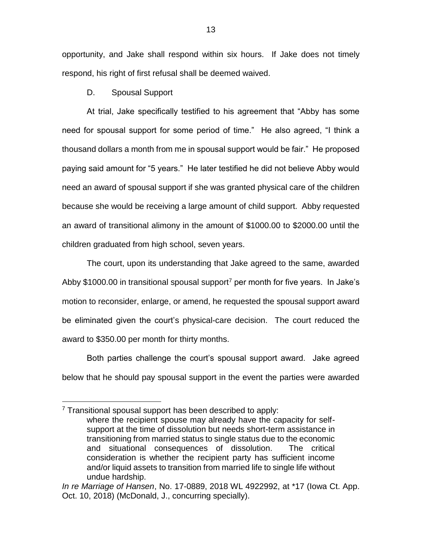opportunity, and Jake shall respond within six hours. If Jake does not timely respond, his right of first refusal shall be deemed waived.

D. Spousal Support

 $\overline{a}$ 

At trial, Jake specifically testified to his agreement that "Abby has some need for spousal support for some period of time." He also agreed, "I think a thousand dollars a month from me in spousal support would be fair." He proposed paying said amount for "5 years." He later testified he did not believe Abby would need an award of spousal support if she was granted physical care of the children because she would be receiving a large amount of child support. Abby requested an award of transitional alimony in the amount of \$1000.00 to \$2000.00 until the children graduated from high school, seven years.

The court, upon its understanding that Jake agreed to the same, awarded Abby \$1000.00 in transitional spousal support<sup>7</sup> per month for five years. In Jake's motion to reconsider, enlarge, or amend, he requested the spousal support award be eliminated given the court's physical-care decision. The court reduced the award to \$350.00 per month for thirty months.

Both parties challenge the court's spousal support award. Jake agreed below that he should pay spousal support in the event the parties were awarded

 $7$  Transitional spousal support has been described to apply: where the recipient spouse may already have the capacity for selfsupport at the time of dissolution but needs short-term assistance in transitioning from married status to single status due to the economic and situational consequences of dissolution. The critical consideration is whether the recipient party has sufficient income and/or liquid assets to transition from married life to single life without undue hardship.

*In re Marriage of Hansen*, No. 17-0889, 2018 WL 4922992, at \*17 (Iowa Ct. App. Oct. 10, 2018) (McDonald, J., concurring specially).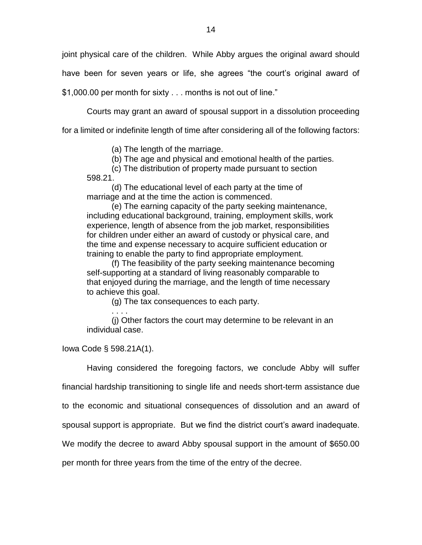joint physical care of the children. While Abby argues the original award should

have been for seven years or life, she agrees "the court's original award of

\$1,000.00 per month for sixty . . . months is not out of line."

Courts may grant an award of spousal support in a dissolution proceeding

for a limited or indefinite length of time after considering all of the following factors:

(a) The length of the marriage.

(b) The age and physical and emotional health of the parties.

(c) The distribution of property made pursuant to section

598.21.

(d) The educational level of each party at the time of marriage and at the time the action is commenced.

(e) The earning capacity of the party seeking maintenance, including educational background, training, employment skills, work experience, length of absence from the job market, responsibilities for children under either an award of custody or physical care, and the time and expense necessary to acquire sufficient education or training to enable the party to find appropriate employment.

(f) The feasibility of the party seeking maintenance becoming self-supporting at a standard of living reasonably comparable to that enjoyed during the marriage, and the length of time necessary to achieve this goal.

(g) The tax consequences to each party.

. . . . (j) Other factors the court may determine to be relevant in an individual case.

Iowa Code § 598.21A(1).

Having considered the foregoing factors, we conclude Abby will suffer

financial hardship transitioning to single life and needs short-term assistance due

to the economic and situational consequences of dissolution and an award of

spousal support is appropriate. But we find the district court's award inadequate.

We modify the decree to award Abby spousal support in the amount of \$650.00

per month for three years from the time of the entry of the decree.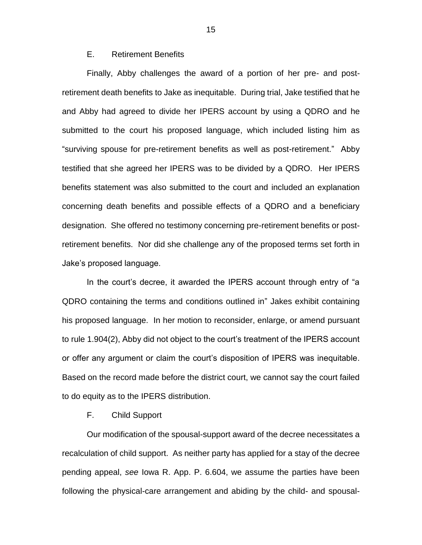# E. Retirement Benefits

Finally, Abby challenges the award of a portion of her pre- and postretirement death benefits to Jake as inequitable. During trial, Jake testified that he and Abby had agreed to divide her IPERS account by using a QDRO and he submitted to the court his proposed language, which included listing him as "surviving spouse for pre-retirement benefits as well as post-retirement." Abby testified that she agreed her IPERS was to be divided by a QDRO. Her IPERS benefits statement was also submitted to the court and included an explanation concerning death benefits and possible effects of a QDRO and a beneficiary designation. She offered no testimony concerning pre-retirement benefits or postretirement benefits. Nor did she challenge any of the proposed terms set forth in Jake's proposed language.

In the court's decree, it awarded the IPERS account through entry of "a QDRO containing the terms and conditions outlined in" Jakes exhibit containing his proposed language. In her motion to reconsider, enlarge, or amend pursuant to rule 1.904(2), Abby did not object to the court's treatment of the IPERS account or offer any argument or claim the court's disposition of IPERS was inequitable. Based on the record made before the district court, we cannot say the court failed to do equity as to the IPERS distribution.

## F. Child Support

Our modification of the spousal-support award of the decree necessitates a recalculation of child support. As neither party has applied for a stay of the decree pending appeal, *see* Iowa R. App. P. 6.604, we assume the parties have been following the physical-care arrangement and abiding by the child- and spousal-